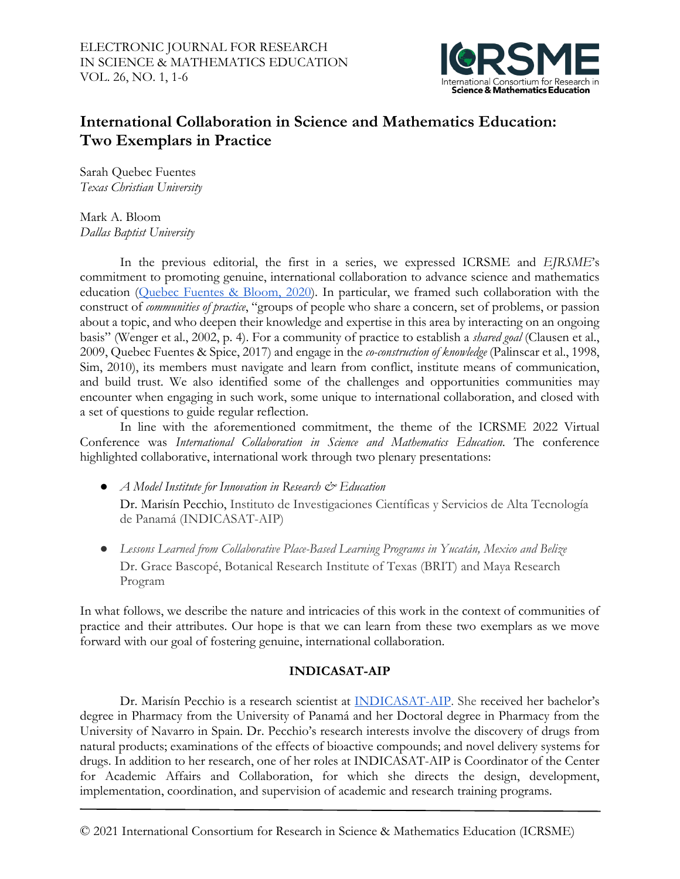

# **International Collaboration in Science and Mathematics Education: Two Exemplars in Practice**

Sarah Quebec Fuentes *Texas Christian University*

Mark A. Bloom *Dallas Baptist University*

In the previous editorial, the first in a series, we expressed ICRSME and *EJRSME*'s commitment to promoting genuine, international collaboration to advance science and mathematics education [\(Quebec Fuentes & Bloom, 2020\)](https://ejrsme.icrsme.com/article/view/22480). In particular, we framed such collaboration with the construct of *communities of practice*, "groups of people who share a concern, set of problems, or passion about a topic, and who deepen their knowledge and expertise in this area by interacting on an ongoing basis" (Wenger et al., 2002, p. 4). For a community of practice to establish a *shared goal* (Clausen et al., 2009, Quebec Fuentes & Spice, 2017) and engage in the *co-construction of knowledge* (Palinscar et al., 1998, Sim, 2010), its members must navigate and learn from conflict, institute means of communication, and build trust. We also identified some of the challenges and opportunities communities may encounter when engaging in such work, some unique to international collaboration, and closed with a set of questions to guide regular reflection.

In line with the aforementioned commitment, the theme of the ICRSME 2022 Virtual Conference was *International Collaboration in Science and Mathematics Education*. The conference highlighted collaborative, international work through two plenary presentations:

- *A Model Institute for Innovation in Research & Education* Dr. Marisín Pecchio, Instituto de Investigaciones Científicas y Servicios de Alta Tecnología de Panamá (INDICASAT-AIP)
- *Lessons Learned from Collaborative Place-Based Learning Programs in Yucatán, Mexico and Belize* Dr. Grace Bascopé, Botanical Research Institute of Texas (BRIT) and Maya Research Program

In what follows, we describe the nature and intricacies of this work in the context of communities of practice and their attributes. Our hope is that we can learn from these two exemplars as we move forward with our goal of fostering genuine, international collaboration.

## **INDICASAT-AIP**

Dr. Marisín Pecchio is a research scientist at [INDICASAT-AIP.](https://indicasat.org.pa/?lang=en) She received her bachelor's degree in Pharmacy from the University of Panamá and her Doctoral degree in Pharmacy from the University of Navarro in Spain. Dr. Pecchio's research interests involve the discovery of drugs from natural products; examinations of the effects of bioactive compounds; and novel delivery systems for drugs. In addition to her research, one of her roles at INDICASAT-AIP is Coordinator of the Center for Academic Affairs and Collaboration, for which she directs the design, development, implementation, coordination, and supervision of academic and research training programs.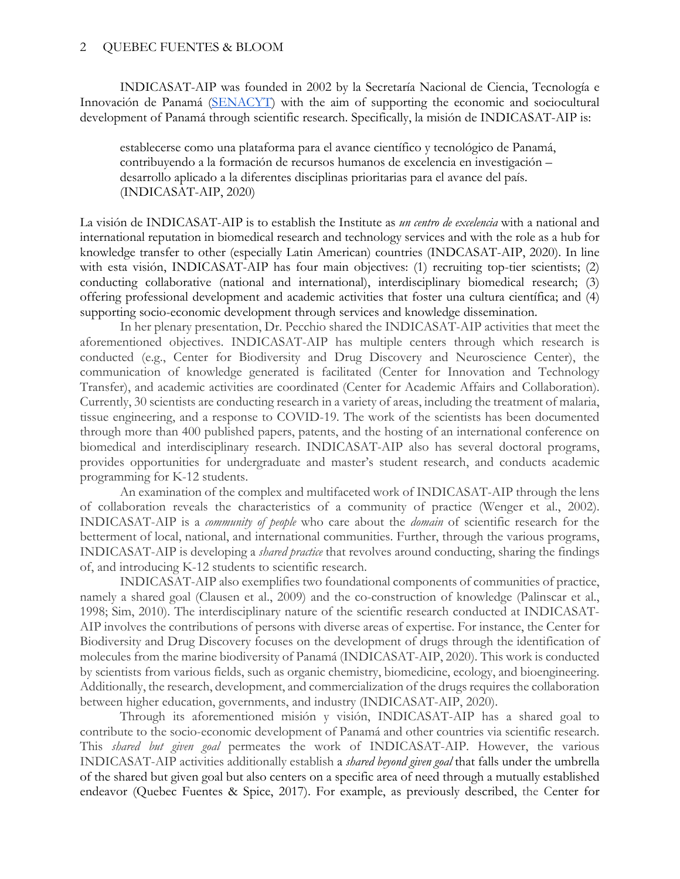INDICASAT-AIP was founded in 2002 by la Secretaría Nacional de Ciencia, Tecnología e Innovación de Panamá [\(SENACYT\)](https://www.senacyt.gob.pa/en/) with the aim of supporting the economic and sociocultural development of Panamá through scientific research. Specifically, la misión de INDICASAT-AIP is:

establecerse como una plataforma para el avance científico y tecnológico de Panamá, contribuyendo a la formación de recursos humanos de excelencia en investigación – desarrollo aplicado a la diferentes disciplinas prioritarias para el avance del país. (INDICASAT-AIP, 2020)

La visión de INDICASAT-AIP is to establish the Institute as *un centro de excelencia* with a national and international reputation in biomedical research and technology services and with the role as a hub for knowledge transfer to other (especially Latin American) countries (INDCASAT-AIP, 2020). In line with esta visión, INDICASAT-AIP has four main objectives: (1) recruiting top-tier scientists; (2) conducting collaborative (national and international), interdisciplinary biomedical research; (3) offering professional development and academic activities that foster una cultura científica; and (4) supporting socio-economic development through services and knowledge dissemination.

In her plenary presentation, Dr. Pecchio shared the INDICASAT-AIP activities that meet the aforementioned objectives. INDICASAT-AIP has multiple centers through which research is conducted (e.g., Center for Biodiversity and Drug Discovery and Neuroscience Center), the communication of knowledge generated is facilitated (Center for Innovation and Technology Transfer), and academic activities are coordinated (Center for Academic Affairs and Collaboration). Currently, 30 scientists are conducting research in a variety of areas, including the treatment of malaria, tissue engineering, and a response to COVID-19. The work of the scientists has been documented through more than 400 published papers, patents, and the hosting of an international conference on biomedical and interdisciplinary research. INDICASAT-AIP also has several doctoral programs, provides opportunities for undergraduate and master's student research, and conducts academic programming for K-12 students.

An examination of the complex and multifaceted work of INDICASAT-AIP through the lens of collaboration reveals the characteristics of a community of practice (Wenger et al., 2002). INDICASAT-AIP is a *community of people* who care about the *domain* of scientific research for the betterment of local, national, and international communities. Further, through the various programs, INDICASAT-AIP is developing a *shared practice* that revolves around conducting, sharing the findings of, and introducing K-12 students to scientific research.

INDICASAT-AIP also exemplifies two foundational components of communities of practice, namely a shared goal (Clausen et al., 2009) and the co-construction of knowledge (Palinscar et al., 1998; Sim, 2010). The interdisciplinary nature of the scientific research conducted at INDICASAT-AIP involves the contributions of persons with diverse areas of expertise. For instance, the Center for Biodiversity and Drug Discovery focuses on the development of drugs through the identification of molecules from the marine biodiversity of Panamá (INDICASAT-AIP, 2020). This work is conducted by scientists from various fields, such as organic chemistry, biomedicine, ecology, and bioengineering. Additionally, the research, development, and commercialization of the drugs requires the collaboration between higher education, governments, and industry (INDICASAT-AIP, 2020).

Through its aforementioned misión y visión, INDICASAT-AIP has a shared goal to contribute to the socio-economic development of Panamá and other countries via scientific research. This *shared but given goal* permeates the work of INDICASAT-AIP. However, the various INDICASAT-AIP activities additionally establish a *shared beyond given goal* that falls under the umbrella of the shared but given goal but also centers on a specific area of need through a mutually established endeavor (Quebec Fuentes & Spice, 2017). For example, as previously described, the Center for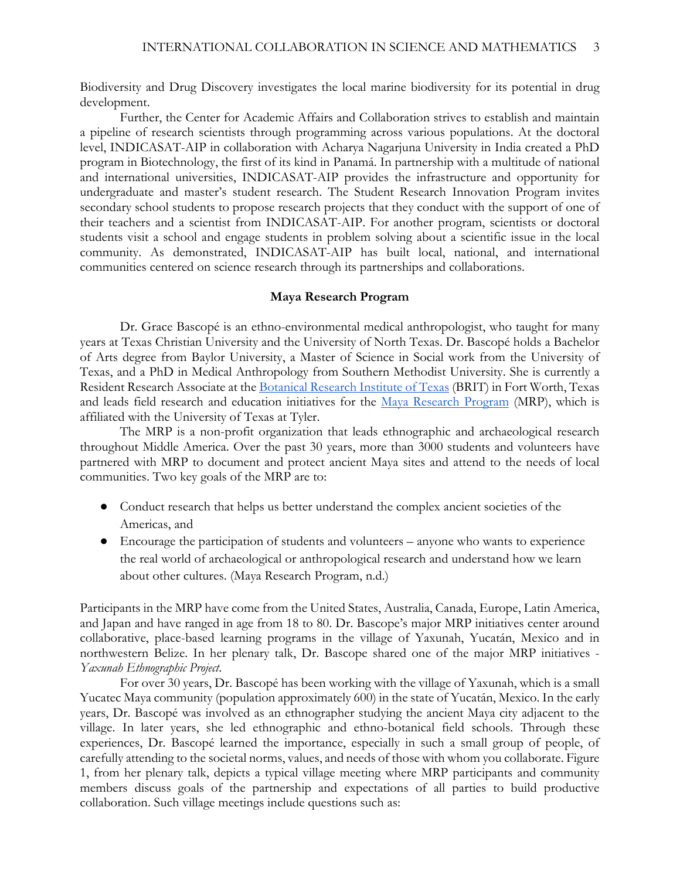Biodiversity and Drug Discovery investigates the local marine biodiversity for its potential in drug development.

Further, the Center for Academic Affairs and Collaboration strives to establish and maintain a pipeline of research scientists through programming across various populations. At the doctoral level, INDICASAT-AIP in collaboration with Acharya Nagarjuna University in India created a PhD program in Biotechnology, the first of its kind in Panamá. In partnership with a multitude of national and international universities, INDICASAT-AIP provides the infrastructure and opportunity for undergraduate and master's student research. The Student Research Innovation Program invites secondary school students to propose research projects that they conduct with the support of one of their teachers and a scientist from INDICASAT-AIP. For another program, scientists or doctoral students visit a school and engage students in problem solving about a scientific issue in the local community. As demonstrated, INDICASAT-AIP has built local, national, and international communities centered on science research through its partnerships and collaborations.

#### **Maya Research Program**

Dr. Grace Bascopé is an ethno-environmental medical anthropologist, who taught for many years at Texas Christian University and the University of North Texas. Dr. Bascopé holds a Bachelor of Arts degree from Baylor University, a Master of Science in Social work from the University of Texas, and a PhD in Medical Anthropology from Southern Methodist University. She is currently a Resident Research Associate at th[e Botanical Research Institute of Texas](https://fwbg.org/research/) (BRIT) in Fort Worth, Texas and leads field research and education initiatives for the [Maya Research Program](http://www.mayaresearchprogram.org/) (MRP), which is affiliated with the University of Texas at Tyler.

The MRP is a non-profit organization that leads ethnographic and archaeological research throughout Middle America. Over the past 30 years, more than 3000 students and volunteers have partnered with MRP to document and protect ancient Maya sites and attend to the needs of local communities. Two key goals of the MRP are to:

- Conduct research that helps us better understand the complex ancient societies of the Americas, and
- Encourage the participation of students and volunteers anyone who wants to experience the real world of archaeological or anthropological research and understand how we learn about other cultures. (Maya Research Program, n.d.)

Participants in the MRP have come from the United States, Australia, Canada, Europe, Latin America, and Japan and have ranged in age from 18 to 80. Dr. Bascope's major MRP initiatives center around collaborative, place-based learning programs in the village of Yaxunah, Yucatán, Mexico and in northwestern Belize. In her plenary talk, Dr. Bascope shared one of the major MRP initiatives - *Yaxunah Ethnographic Project*.

For over 30 years, Dr. Bascopé has been working with the village of Yaxunah, which is a small Yucatec Maya community (population approximately 600) in the state of Yucatán, Mexico. In the early years, Dr. Bascopé was involved as an ethnographer studying the ancient Maya city adjacent to the village. In later years, she led ethnographic and ethno-botanical field schools. Through these experiences, Dr. Bascopé learned the importance, especially in such a small group of people, of carefully attending to the societal norms, values, and needs of those with whom you collaborate. Figure 1, from her plenary talk, depicts a typical village meeting where MRP participants and community members discuss goals of the partnership and expectations of all parties to build productive collaboration. Such village meetings include questions such as: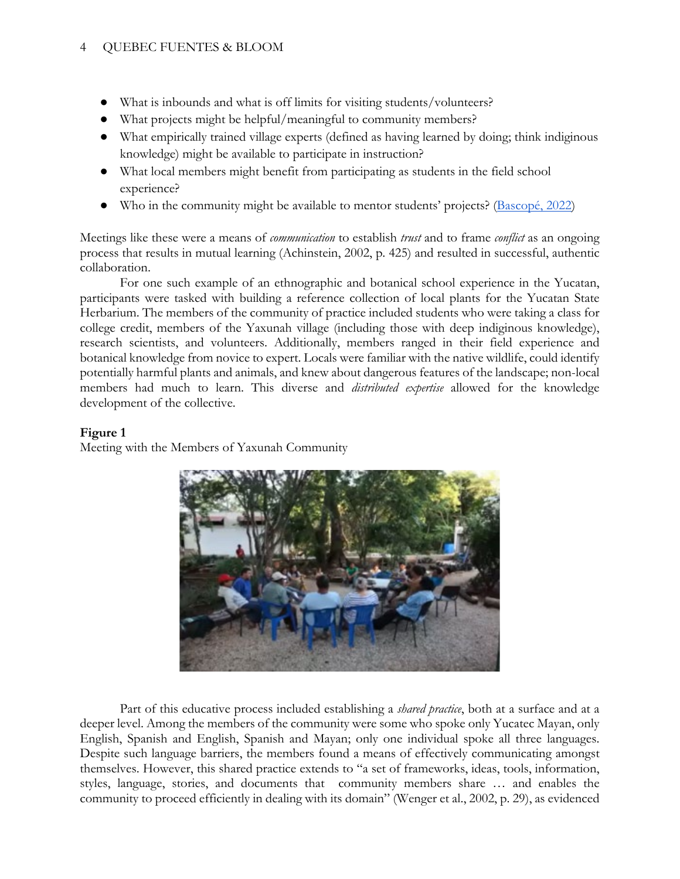## 4 QUEBEC FUENTES & BLOOM

- What is inbounds and what is off limits for visiting students/volunteers?
- What projects might be helpful/meaningful to community members?
- What empirically trained village experts (defined as having learned by doing; think indiginous knowledge) might be available to participate in instruction?
- What local members might benefit from participating as students in the field school experience?
- Who in the community might be available to mentor students' projects? [\(Bascopé, 2022\)](https://icrsme.com/2022-plenary)

Meetings like these were a means of *communication* to establish *trust* and to frame *conflict* as an ongoing process that results in mutual learning (Achinstein, 2002, p. 425) and resulted in successful, authentic collaboration.

For one such example of an ethnographic and botanical school experience in the Yucatan, participants were tasked with building a reference collection of local plants for the Yucatan State Herbarium. The members of the community of practice included students who were taking a class for college credit, members of the Yaxunah village (including those with deep indiginous knowledge), research scientists, and volunteers. Additionally, members ranged in their field experience and botanical knowledge from novice to expert. Locals were familiar with the native wildlife, could identify potentially harmful plants and animals, and knew about dangerous features of the landscape; non-local members had much to learn. This diverse and *distributed expertise* allowed for the knowledge development of the collective.

### **Figure 1**

Meeting with the Members of Yaxunah Community



Part of this educative process included establishing a *shared practice*, both at a surface and at a deeper level. Among the members of the community were some who spoke only Yucatec Mayan, only English, Spanish and English, Spanish and Mayan; only one individual spoke all three languages. Despite such language barriers, the members found a means of effectively communicating amongst themselves. However, this shared practice extends to "a set of frameworks, ideas, tools, information, styles, language, stories, and documents that community members share … and enables the community to proceed efficiently in dealing with its domain" (Wenger et al., 2002, p. 29), as evidenced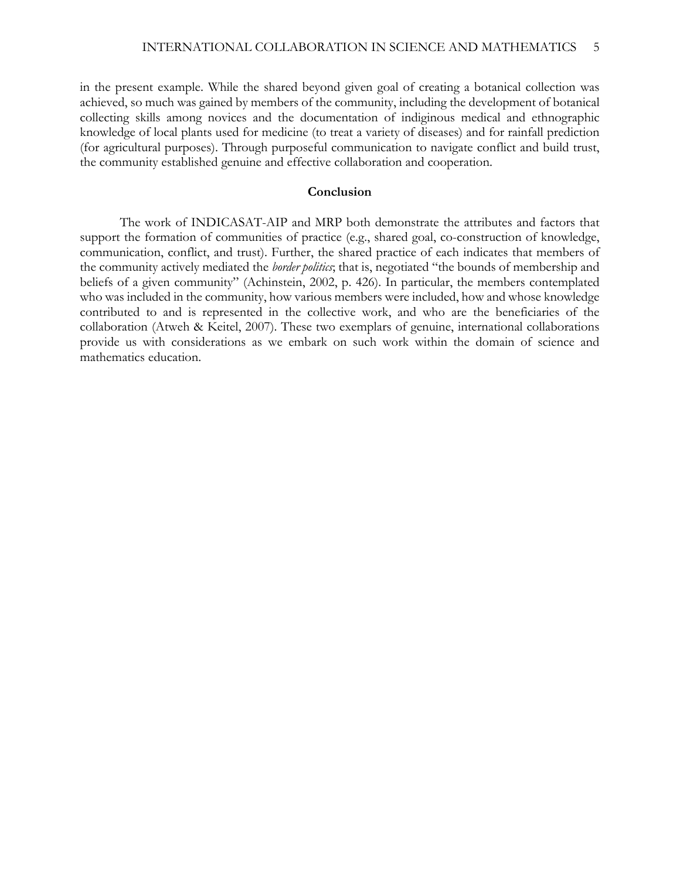in the present example. While the shared beyond given goal of creating a botanical collection was achieved, so much was gained by members of the community, including the development of botanical collecting skills among novices and the documentation of indiginous medical and ethnographic knowledge of local plants used for medicine (to treat a variety of diseases) and for rainfall prediction (for agricultural purposes). Through purposeful communication to navigate conflict and build trust, the community established genuine and effective collaboration and cooperation.

#### **Conclusion**

The work of INDICASAT-AIP and MRP both demonstrate the attributes and factors that support the formation of communities of practice (e.g., shared goal, co-construction of knowledge, communication, conflict, and trust). Further, the shared practice of each indicates that members of the community actively mediated the *border politics*; that is, negotiated "the bounds of membership and beliefs of a given community" (Achinstein, 2002, p. 426). In particular, the members contemplated who was included in the community, how various members were included, how and whose knowledge contributed to and is represented in the collective work, and who are the beneficiaries of the collaboration (Atweh & Keitel, 2007). These two exemplars of genuine, international collaborations provide us with considerations as we embark on such work within the domain of science and mathematics education.